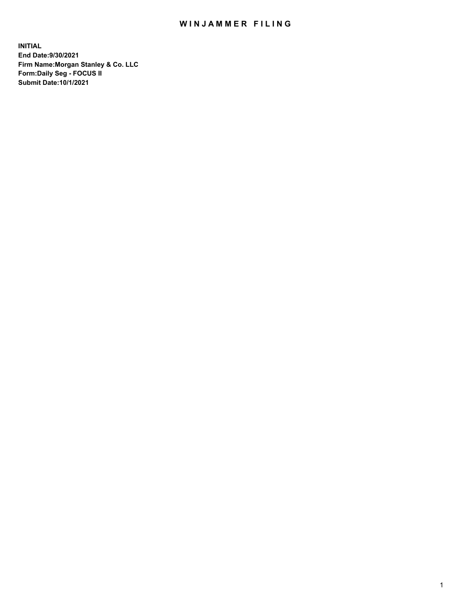## WIN JAMMER FILING

**INITIAL End Date:9/30/2021 Firm Name:Morgan Stanley & Co. LLC Form:Daily Seg - FOCUS II Submit Date:10/1/2021**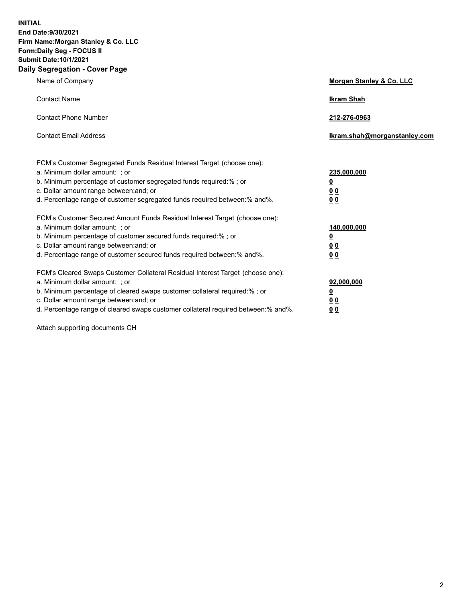**INITIAL End Date:9/30/2021 Firm Name:Morgan Stanley & Co. LLC Form:Daily Seg - FOCUS II Submit Date:10/1/2021 Daily Segregation - Cover Page**

| Name of Company                                                                                                                                                                                                                                                                                                                | <b>Morgan Stanley &amp; Co. LLC</b>                    |
|--------------------------------------------------------------------------------------------------------------------------------------------------------------------------------------------------------------------------------------------------------------------------------------------------------------------------------|--------------------------------------------------------|
| <b>Contact Name</b>                                                                                                                                                                                                                                                                                                            | <b>Ikram Shah</b>                                      |
| <b>Contact Phone Number</b>                                                                                                                                                                                                                                                                                                    | 212-276-0963                                           |
| <b>Contact Email Address</b>                                                                                                                                                                                                                                                                                                   | Ikram.shah@morganstanley.com                           |
| FCM's Customer Segregated Funds Residual Interest Target (choose one):<br>a. Minimum dollar amount: ; or<br>b. Minimum percentage of customer segregated funds required:% ; or<br>c. Dollar amount range between: and; or<br>d. Percentage range of customer segregated funds required between:% and%.                         | 235,000,000<br><u>0</u><br>0 Q<br>0 Q                  |
| FCM's Customer Secured Amount Funds Residual Interest Target (choose one):<br>a. Minimum dollar amount: ; or<br>b. Minimum percentage of customer secured funds required:% ; or<br>c. Dollar amount range between: and; or<br>d. Percentage range of customer secured funds required between: % and %.                         | 140,000,000<br><u>0</u><br><u>00</u><br>0 <sub>0</sub> |
| FCM's Cleared Swaps Customer Collateral Residual Interest Target (choose one):<br>a. Minimum dollar amount: ; or<br>b. Minimum percentage of cleared swaps customer collateral required:% ; or<br>c. Dollar amount range between: and; or<br>d. Percentage range of cleared swaps customer collateral required between:% and%. | 92,000,000<br><u>0</u><br>0 Q<br>00                    |

Attach supporting documents CH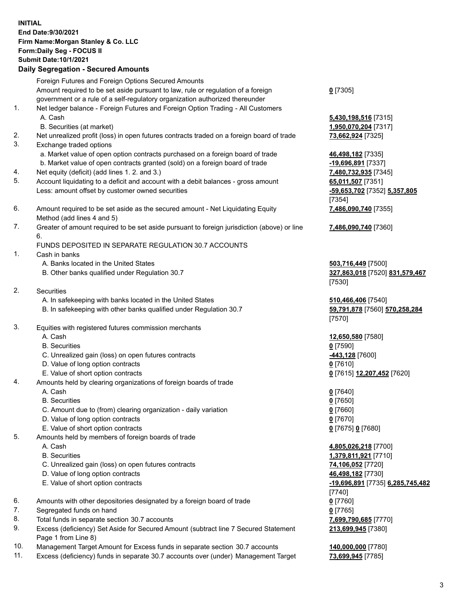## **INITIAL End Date:9/30/2021 Firm Name:Morgan Stanley & Co. LLC Form:Daily Seg - FOCUS II Submit Date:10/1/2021**

## **Daily Segregation - Secured Amounts**

Foreign Futures and Foreign Options Secured Amounts Amount required to be set aside pursuant to law, rule or regulation of a foreign government or a rule of a self-regulatory organization authorized thereunder 1. Net ledger balance - Foreign Futures and Foreign Option Trading - All Customers A. Cash **5,430,198,516** [7315] B. Securities (at market) **1,950,070,204** [7317] 2. Net unrealized profit (loss) in open futures contracts traded on a foreign board of trade **73,662,924** [7325] 3. Exchange traded options a. Market value of open option contracts purchased on a foreign board of trade **46,498,182** [7335] b. Market value of open contracts granted (sold) on a foreign board of trade **-19,696,891** [7337] 4. Net equity (deficit) (add lines 1. 2. and 3.) **7,480,732,935** [7345] 5. Account liquidating to a deficit and account with a debit balances - gross amount **65,011,507** [7351] Less: amount offset by customer owned securities **-59,653,702** [7352] **5,357,805** 6. Amount required to be set aside as the secured amount - Net Liquidating Equity Method (add lines 4 and 5) 7. Greater of amount required to be set aside pursuant to foreign jurisdiction (above) or line

6.

## FUNDS DEPOSITED IN SEPARATE REGULATION 30.7 ACCOUNTS

- 1. Cash in banks
	- A. Banks located in the United States **503,716,449** [7500]
	- B. Other banks qualified under Regulation 30.7 **327,863,018** [7520] **831,579,467**
- 2. Securities
	- A. In safekeeping with banks located in the United States **510,466,406** [7540]
	- B. In safekeeping with other banks qualified under Regulation 30.7 **59,791,878** [7560] **570,258,284**
- 3. Equities with registered futures commission merchants
	-
	- B. Securities **0** [7590]
	- C. Unrealized gain (loss) on open futures contracts **-443,128** [7600]
	- D. Value of long option contracts **0** [7610]
	- E. Value of short option contracts **0** [7615] **12,207,452** [7620]
- 4. Amounts held by clearing organizations of foreign boards of trade
	- A. Cash **0** [7640]
	- B. Securities **0** [7650]
	- C. Amount due to (from) clearing organization daily variation **0** [7660]
	- D. Value of long option contracts **0** [7670]
	- E. Value of short option contracts **0** [7675] **0** [7680]
- 5. Amounts held by members of foreign boards of trade
	-
	-
	- C. Unrealized gain (loss) on open futures contracts **74,106,052** [7720]
	- D. Value of long option contracts **46,498,182** [7730]
	-
- 6. Amounts with other depositories designated by a foreign board of trade **0** [7760]
- 7. Segregated funds on hand **0** [7765]
- 8. Total funds in separate section 30.7 accounts **7,699,790,685** [7770]
- 9. Excess (deficiency) Set Aside for Secured Amount (subtract line 7 Secured Statement Page 1 from Line 8)
- 10. Management Target Amount for Excess funds in separate section 30.7 accounts **140,000,000** [7780]
- 11. Excess (deficiency) funds in separate 30.7 accounts over (under) Management Target **73,699,945** [7785]

**0** [7305]

[7354] **7,486,090,740** [7355]

**7,486,090,740** [7360]

[7530]

[7570]

A. Cash **12,650,580** [7580]

 A. Cash **4,805,026,218** [7700] B. Securities **1,379,811,921** [7710] E. Value of short option contracts **-19,696,891** [7735] **6,285,745,482** [7740] **213,699,945** [7380]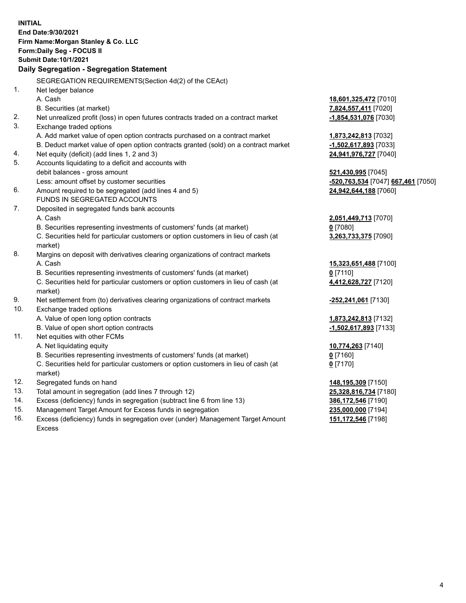**INITIAL End Date:9/30/2021 Firm Name:Morgan Stanley & Co. LLC Form:Daily Seg - FOCUS II Submit Date:10/1/2021 Daily Segregation - Segregation Statement** SEGREGATION REQUIREMENTS(Section 4d(2) of the CEAct) 1. Net ledger balance A. Cash **18,601,325,472** [7010] B. Securities (at market) **7,824,557,411** [7020] 2. Net unrealized profit (loss) in open futures contracts traded on a contract market **-1,854,531,076** [7030] 3. Exchange traded options A. Add market value of open option contracts purchased on a contract market **1,873,242,813** [7032] B. Deduct market value of open option contracts granted (sold) on a contract market **-1,502,617,893** [7033] 4. Net equity (deficit) (add lines 1, 2 and 3) **24,941,976,727** [7040] 5. Accounts liquidating to a deficit and accounts with debit balances - gross amount **521,430,995** [7045] Less: amount offset by customer securities **-520,763,534** [7047] **667,461** [7050] 6. Amount required to be segregated (add lines 4 and 5) **24,942,644,188** [7060] FUNDS IN SEGREGATED ACCOUNTS 7. Deposited in segregated funds bank accounts A. Cash **2,051,449,713** [7070] B. Securities representing investments of customers' funds (at market) **0** [7080] C. Securities held for particular customers or option customers in lieu of cash (at market) **3,263,733,375** [7090] 8. Margins on deposit with derivatives clearing organizations of contract markets A. Cash **15,323,651,488** [7100] B. Securities representing investments of customers' funds (at market) **0** [7110] C. Securities held for particular customers or option customers in lieu of cash (at market) **4,412,628,727** [7120] 9. Net settlement from (to) derivatives clearing organizations of contract markets **-252,241,061** [7130] 10. Exchange traded options A. Value of open long option contracts **1,873,242,813** [7132] B. Value of open short option contracts **-1,502,617,893** [7133] 11. Net equities with other FCMs A. Net liquidating equity **10,774,263** [7140] B. Securities representing investments of customers' funds (at market) **0** [7160] C. Securities held for particular customers or option customers in lieu of cash (at market) **0** [7170] 12. Segregated funds on hand **148,195,309** [7150] 13. Total amount in segregation (add lines 7 through 12) **25,328,816,734** [7180] 14. Excess (deficiency) funds in segregation (subtract line 6 from line 13) **386,172,546** [7190] 15. Management Target Amount for Excess funds in segregation **235,000,000** [7194]

16. Excess (deficiency) funds in segregation over (under) Management Target Amount Excess

**151,172,546** [7198]